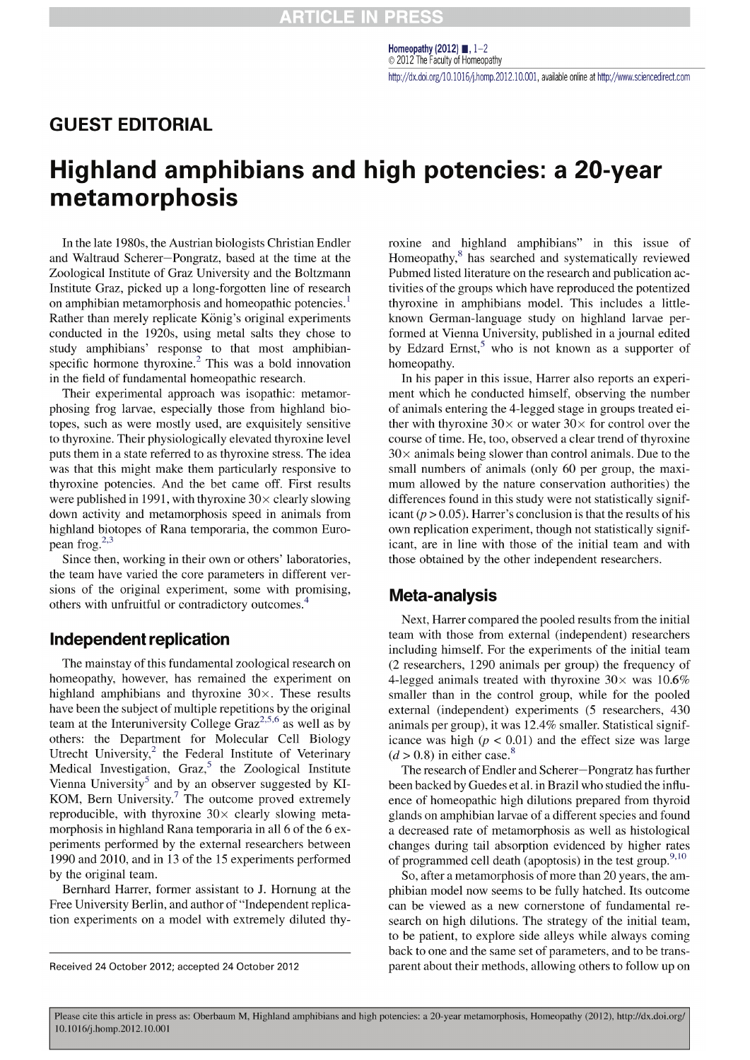## **GUEST EDITORIAL**

# Highland amphibians and high potencies: a 20-year metamorphosis

In the late 1980s, the Austrian biologists Christian Endler and Waltraud Scherer-Pongratz, based at the time at the Zoological Institute of Graz University and the Boltzmann Institute Graz, picked up a long-forgotten line of research on amphibian metamorphosis and homeopathic potencies.<sup>1</sup> Rather than merely replicate König's original experiments conducted in the 1920s, using metal salts they chose to study amphibians' response to that most amphibianspecific hormone thyroxine.<sup>2</sup> This was a bold innovation in the field of fundamental homeopathic research.

Their experimental approach was isopathic: metamorphosing frog larvae, especially those from highland biotopes, such as were mostly used, are exquisitely sensitive to thyroxine. Their physiologically elevated thyroxine level puts them in a state referred to as thyroxine stress. The idea was that this might make them particularly responsive to thyroxine potencies. And the bet came off. First results were published in 1991, with thyroxine  $30\times$  clearly slowing down activity and metamorphosis speed in animals from highland biotopes of Rana temporaria, the common European frog. $^{2,3}$ 

Since then, working in their own or others' laboratories, the team have varied the core parameters in different versions of the original experiment, some with promising, others with unfruitful or contradictory outcomes.<sup>4</sup>

#### **Independent replication**

The mainstay of this fundamental zoological research on homeopathy, however, has remained the experiment on highland amphibians and thyroxine  $30\times$ . These results have been the subject of multiple repetitions by the original team at the Interuniversity College Graz<sup>2,5,6</sup> as well as by others: the Department for Molecular Cell Biology Utrecht University,<sup>2</sup> the Federal Institute of Veterinary Medical Investigation, Graz,<sup>5</sup> the Zoological Institute Vienna University<sup>5</sup> and by an observer suggested by KI-KOM, Bern University.<sup>7</sup> The outcome proved extremely reproducible, with thyroxine  $30 \times$  clearly slowing metamorphosis in highland Rana temporaria in all 6 of the 6 experiments performed by the external researchers between 1990 and 2010, and in 13 of the 15 experiments performed by the original team.

Bernhard Harrer, former assistant to J. Hornung at the Free University Berlin, and author of "Independent replication experiments on a model with extremely diluted thyroxine and highland amphibians" in this issue of Homeopathy,<sup>8</sup> has searched and systematically reviewed Pubmed listed literature on the research and publication activities of the groups which have reproduced the potentized thyroxine in amphibians model. This includes a littleknown German-language study on highland larvae performed at Vienna University, published in a journal edited by Edzard Ernst,<sup>5</sup> who is not known as a supporter of homeopathy.

In his paper in this issue, Harrer also reports an experiment which he conducted himself, observing the number of animals entering the 4-legged stage in groups treated either with thyroxine  $30 \times$  or water  $30 \times$  for control over the course of time. He, too, observed a clear trend of thyroxine  $30\times$  animals being slower than control animals. Due to the small numbers of animals (only 60 per group, the maximum allowed by the nature conservation authorities) the differences found in this study were not statistically significant ( $p > 0.05$ ). Harrer's conclusion is that the results of his own replication experiment, though not statistically significant, are in line with those of the initial team and with those obtained by the other independent researchers.

#### **Meta-analysis**

Next, Harrer compared the pooled results from the initial team with those from external (independent) researchers including himself. For the experiments of the initial team (2 researchers, 1290 animals per group) the frequency of 4-legged animals treated with thyroxine  $30\times$  was 10.6% smaller than in the control group, while for the pooled external (independent) experiments (5 researchers, 430 animals per group), it was 12.4% smaller. Statistical significance was high ( $p < 0.01$ ) and the effect size was large  $(d > 0.8)$  in either case.<sup>8</sup>

The research of Endler and Scherer-Pongratz has further been backed by Guedes et al. in Brazil who studied the influence of homeopathic high dilutions prepared from thyroid glands on amphibian larvae of a different species and found a decreased rate of metamorphosis as well as histological changes during tail absorption evidenced by higher rates of programmed cell death (apoptosis) in the test group.<sup>9,10</sup>

So, after a metamorphosis of more than 20 years, the amphibian model now seems to be fully hatched. Its outcome can be viewed as a new cornerstone of fundamental research on high dilutions. The strategy of the initial team, to be patient, to explore side alleys while always coming back to one and the same set of parameters, and to be transparent about their methods, allowing others to follow up on

Received 24 October 2012; accepted 24 October 2012